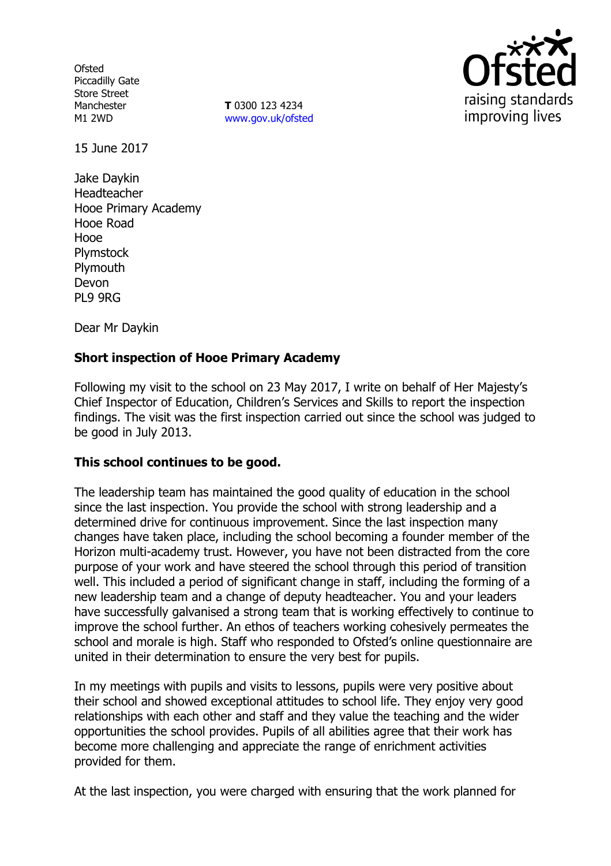**Ofsted** Piccadilly Gate Store Street Manchester M1 2WD

**T** 0300 123 4234 www.gov.uk/ofsted



15 June 2017

Jake Daykin Headteacher Hooe Primary Academy Hooe Road Hooe Plymstock **Plymouth** Devon PL9 9RG

Dear Mr Daykin

## **Short inspection of Hooe Primary Academy**

Following my visit to the school on 23 May 2017, I write on behalf of Her Majesty's Chief Inspector of Education, Children's Services and Skills to report the inspection findings. The visit was the first inspection carried out since the school was judged to be good in July 2013.

### **This school continues to be good.**

The leadership team has maintained the good quality of education in the school since the last inspection. You provide the school with strong leadership and a determined drive for continuous improvement. Since the last inspection many changes have taken place, including the school becoming a founder member of the Horizon multi-academy trust. However, you have not been distracted from the core purpose of your work and have steered the school through this period of transition well. This included a period of significant change in staff, including the forming of a new leadership team and a change of deputy headteacher. You and your leaders have successfully galvanised a strong team that is working effectively to continue to improve the school further. An ethos of teachers working cohesively permeates the school and morale is high. Staff who responded to Ofsted's online questionnaire are united in their determination to ensure the very best for pupils.

In my meetings with pupils and visits to lessons, pupils were very positive about their school and showed exceptional attitudes to school life. They enjoy very good relationships with each other and staff and they value the teaching and the wider opportunities the school provides. Pupils of all abilities agree that their work has become more challenging and appreciate the range of enrichment activities provided for them.

At the last inspection, you were charged with ensuring that the work planned for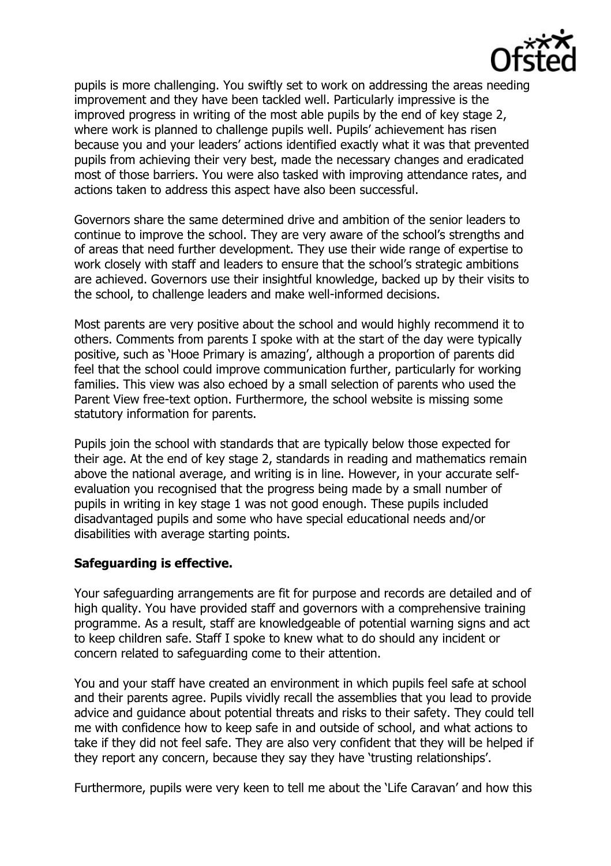

pupils is more challenging. You swiftly set to work on addressing the areas needing improvement and they have been tackled well. Particularly impressive is the improved progress in writing of the most able pupils by the end of key stage 2, where work is planned to challenge pupils well. Pupils' achievement has risen because you and your leaders' actions identified exactly what it was that prevented pupils from achieving their very best, made the necessary changes and eradicated most of those barriers. You were also tasked with improving attendance rates, and actions taken to address this aspect have also been successful.

Governors share the same determined drive and ambition of the senior leaders to continue to improve the school. They are very aware of the school's strengths and of areas that need further development. They use their wide range of expertise to work closely with staff and leaders to ensure that the school's strategic ambitions are achieved. Governors use their insightful knowledge, backed up by their visits to the school, to challenge leaders and make well-informed decisions.

Most parents are very positive about the school and would highly recommend it to others. Comments from parents I spoke with at the start of the day were typically positive, such as 'Hooe Primary is amazing', although a proportion of parents did feel that the school could improve communication further, particularly for working families. This view was also echoed by a small selection of parents who used the Parent View free-text option. Furthermore, the school website is missing some statutory information for parents.

Pupils join the school with standards that are typically below those expected for their age. At the end of key stage 2, standards in reading and mathematics remain above the national average, and writing is in line. However, in your accurate selfevaluation you recognised that the progress being made by a small number of pupils in writing in key stage 1 was not good enough. These pupils included disadvantaged pupils and some who have special educational needs and/or disabilities with average starting points.

### **Safeguarding is effective.**

Your safeguarding arrangements are fit for purpose and records are detailed and of high quality. You have provided staff and governors with a comprehensive training programme. As a result, staff are knowledgeable of potential warning signs and act to keep children safe. Staff I spoke to knew what to do should any incident or concern related to safeguarding come to their attention.

You and your staff have created an environment in which pupils feel safe at school and their parents agree. Pupils vividly recall the assemblies that you lead to provide advice and guidance about potential threats and risks to their safety. They could tell me with confidence how to keep safe in and outside of school, and what actions to take if they did not feel safe. They are also very confident that they will be helped if they report any concern, because they say they have 'trusting relationships'.

Furthermore, pupils were very keen to tell me about the 'Life Caravan' and how this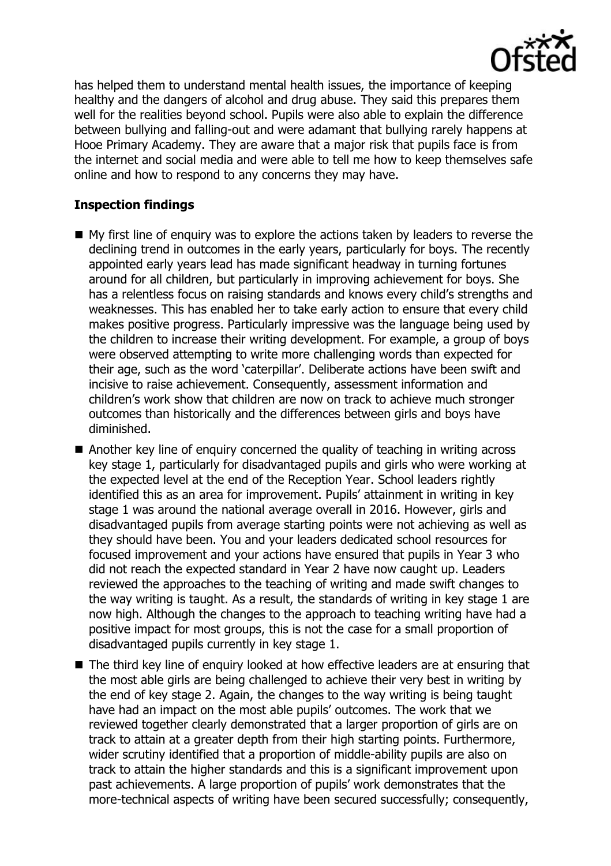

has helped them to understand mental health issues, the importance of keeping healthy and the dangers of alcohol and drug abuse. They said this prepares them well for the realities beyond school. Pupils were also able to explain the difference between bullying and falling-out and were adamant that bullying rarely happens at Hooe Primary Academy. They are aware that a major risk that pupils face is from the internet and social media and were able to tell me how to keep themselves safe online and how to respond to any concerns they may have.

# **Inspection findings**

- My first line of enquiry was to explore the actions taken by leaders to reverse the declining trend in outcomes in the early years, particularly for boys. The recently appointed early years lead has made significant headway in turning fortunes around for all children, but particularly in improving achievement for boys. She has a relentless focus on raising standards and knows every child's strengths and weaknesses. This has enabled her to take early action to ensure that every child makes positive progress. Particularly impressive was the language being used by the children to increase their writing development. For example, a group of boys were observed attempting to write more challenging words than expected for their age, such as the word 'caterpillar'. Deliberate actions have been swift and incisive to raise achievement. Consequently, assessment information and children's work show that children are now on track to achieve much stronger outcomes than historically and the differences between girls and boys have diminished.
- Another key line of enguiry concerned the quality of teaching in writing across key stage 1, particularly for disadvantaged pupils and girls who were working at the expected level at the end of the Reception Year. School leaders rightly identified this as an area for improvement. Pupils' attainment in writing in key stage 1 was around the national average overall in 2016. However, girls and disadvantaged pupils from average starting points were not achieving as well as they should have been. You and your leaders dedicated school resources for focused improvement and your actions have ensured that pupils in Year 3 who did not reach the expected standard in Year 2 have now caught up. Leaders reviewed the approaches to the teaching of writing and made swift changes to the way writing is taught. As a result, the standards of writing in key stage 1 are now high. Although the changes to the approach to teaching writing have had a positive impact for most groups, this is not the case for a small proportion of disadvantaged pupils currently in key stage 1.
- The third key line of enquiry looked at how effective leaders are at ensuring that the most able girls are being challenged to achieve their very best in writing by the end of key stage 2. Again, the changes to the way writing is being taught have had an impact on the most able pupils' outcomes. The work that we reviewed together clearly demonstrated that a larger proportion of girls are on track to attain at a greater depth from their high starting points. Furthermore, wider scrutiny identified that a proportion of middle-ability pupils are also on track to attain the higher standards and this is a significant improvement upon past achievements. A large proportion of pupils' work demonstrates that the more-technical aspects of writing have been secured successfully; consequently,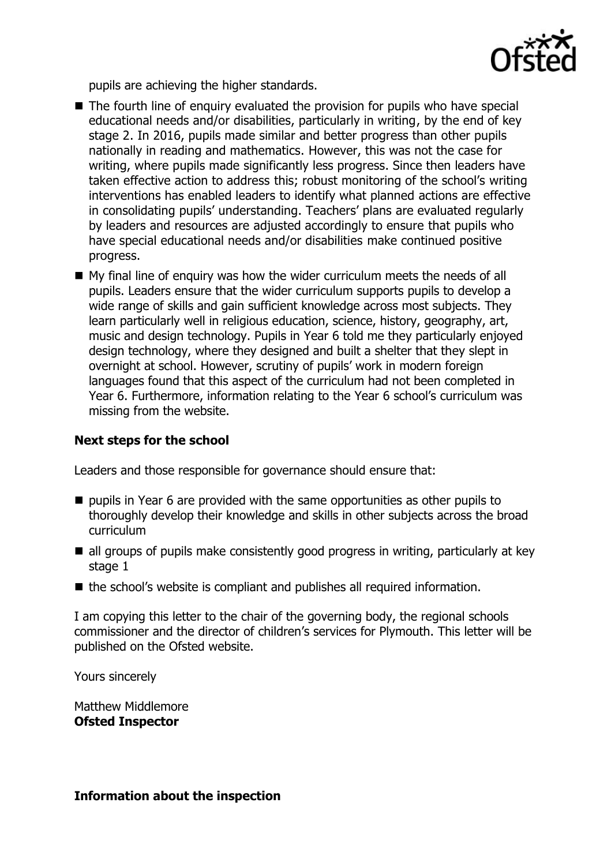

pupils are achieving the higher standards.

- The fourth line of enguiry evaluated the provision for pupils who have special educational needs and/or disabilities, particularly in writing, by the end of key stage 2. In 2016, pupils made similar and better progress than other pupils nationally in reading and mathematics. However, this was not the case for writing, where pupils made significantly less progress. Since then leaders have taken effective action to address this; robust monitoring of the school's writing interventions has enabled leaders to identify what planned actions are effective in consolidating pupils' understanding. Teachers' plans are evaluated regularly by leaders and resources are adjusted accordingly to ensure that pupils who have special educational needs and/or disabilities make continued positive progress.
- My final line of enquiry was how the wider curriculum meets the needs of all pupils. Leaders ensure that the wider curriculum supports pupils to develop a wide range of skills and gain sufficient knowledge across most subjects. They learn particularly well in religious education, science, history, geography, art, music and design technology. Pupils in Year 6 told me they particularly enjoyed design technology, where they designed and built a shelter that they slept in overnight at school. However, scrutiny of pupils' work in modern foreign languages found that this aspect of the curriculum had not been completed in Year 6. Furthermore, information relating to the Year 6 school's curriculum was missing from the website.

### **Next steps for the school**

Leaders and those responsible for governance should ensure that:

- $\blacksquare$  pupils in Year 6 are provided with the same opportunities as other pupils to thoroughly develop their knowledge and skills in other subjects across the broad curriculum
- all groups of pupils make consistently good progress in writing, particularly at key stage 1
- the school's website is compliant and publishes all required information.

I am copying this letter to the chair of the governing body, the regional schools commissioner and the director of children's services for Plymouth. This letter will be published on the Ofsted website.

Yours sincerely

Matthew Middlemore **Ofsted Inspector**